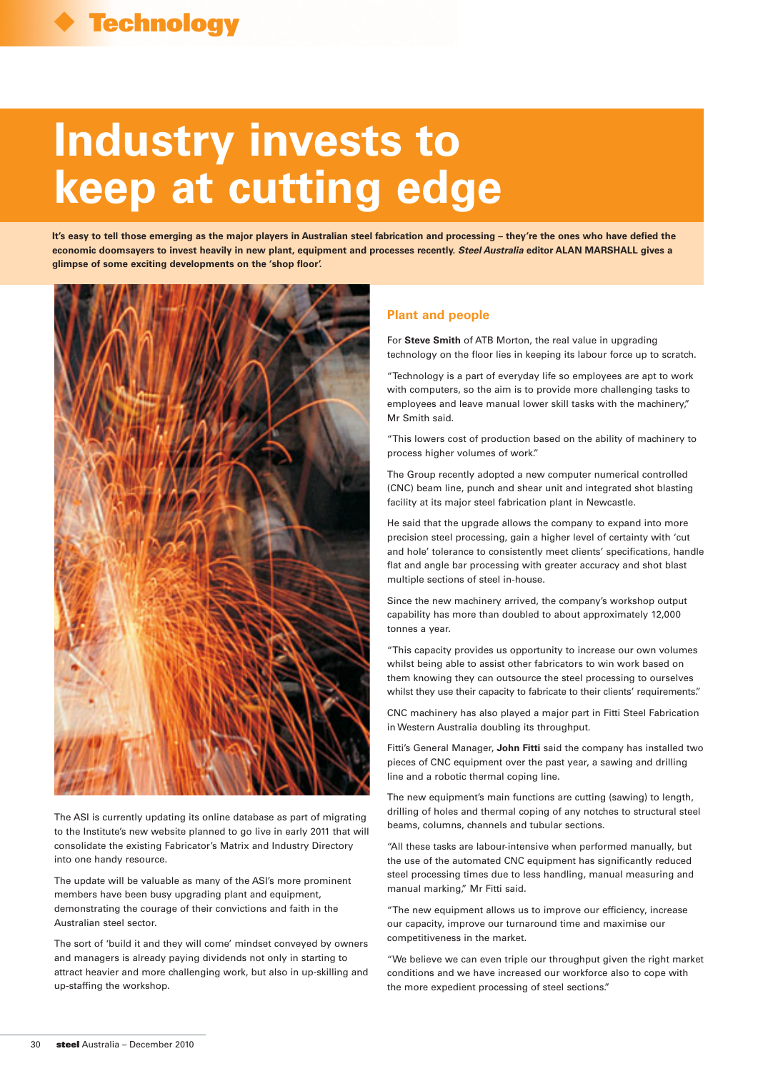# **Industry invests to keep at cutting edge**

**It's easy to tell those emerging as the major players in Australian steel fabrication and processing – they're the ones who have defied the economic doomsayers to invest heavily in new plant, equipment and processes recently. Steel Australia editor ALAN MARSHALL gives a glimpse of some exciting developments on the 'shop floor'.**



The ASI is currently updating its online database as part of migrating to the Institute's new website planned to go live in early 2011 that will consolidate the existing Fabricator's Matrix and Industry Directory into one handy resource.

The update will be valuable as many of the ASI's more prominent members have been busy upgrading plant and equipment, demonstrating the courage of their convictions and faith in the Australian steel sector.

The sort of 'build it and they will come' mindset conveyed by owners and managers is already paying dividends not only in starting to attract heavier and more challenging work, but also in up-skilling and up-staffing the workshop.

# **Plant and people**

For **Steve Smith** of ATB Morton, the real value in upgrading technology on the floor lies in keeping its labour force up to scratch.

"Technology is a part of everyday life so employees are apt to work with computers, so the aim is to provide more challenging tasks to employees and leave manual lower skill tasks with the machinery," Mr Smith said.

"This lowers cost of production based on the ability of machinery to process higher volumes of work."

The Group recently adopted a new computer numerical controlled (CNC) beam line, punch and shear unit and integrated shot blasting facility at its major steel fabrication plant in Newcastle.

He said that the upgrade allows the company to expand into more precision steel processing, gain a higher level of certainty with 'cut and hole' tolerance to consistently meet clients' specifications, handle flat and angle bar processing with greater accuracy and shot blast multiple sections of steel in-house.

Since the new machinery arrived, the company's workshop output capability has more than doubled to about approximately 12,000 tonnes a year.

"This capacity provides us opportunity to increase our own volumes whilst being able to assist other fabricators to win work based on them knowing they can outsource the steel processing to ourselves whilst they use their capacity to fabricate to their clients' requirements."

CNC machinery has also played a major part in Fitti Steel Fabrication in Western Australia doubling its throughput.

Fitti's General Manager, **John Fitti** said the company has installed two pieces of CNC equipment over the past year, a sawing and drilling line and a robotic thermal coping line.

The new equipment's main functions are cutting (sawing) to length, drilling of holes and thermal coping of any notches to structural steel beams, columns, channels and tubular sections.

"All these tasks are labour-intensive when performed manually, but the use of the automated CNC equipment has significantly reduced steel processing times due to less handling, manual measuring and manual marking," Mr Fitti said.

"The new equipment allows us to improve our efficiency, increase our capacity, improve our turnaround time and maximise our competitiveness in the market.

"We believe we can even triple our throughput given the right market conditions and we have increased our workforce also to cope with the more expedient processing of steel sections."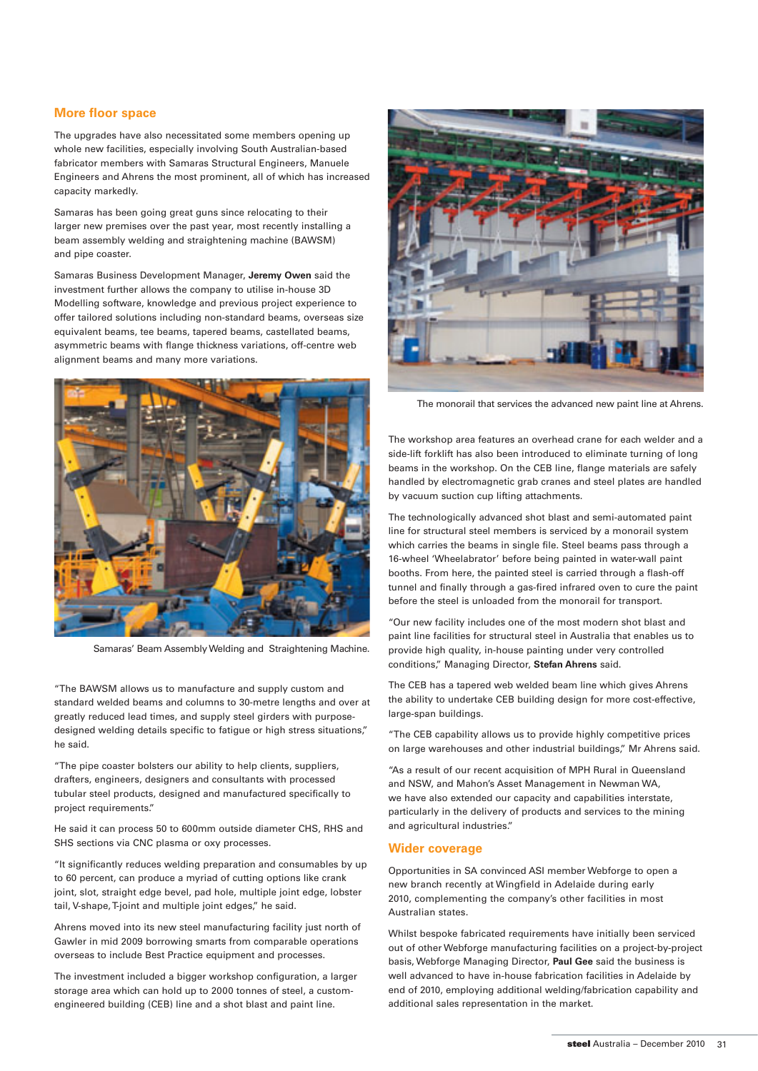### **More floor space**

The upgrades have also necessitated some members opening up whole new facilities, especially involving South Australian-based fabricator members with Samaras Structural Engineers, Manuele Engineers and Ahrens the most prominent, all of which has increased capacity markedly.

Samaras has been going great guns since relocating to their larger new premises over the past year, most recently installing a beam assembly welding and straightening machine (BAWSM) and pipe coaster.

Samaras Business Development Manager, **Jeremy Owen** said the investment further allows the company to utilise in-house 3D Modelling software, knowledge and previous project experience to offer tailored solutions including non-standard beams, overseas size equivalent beams, tee beams, tapered beams, castellated beams, asymmetric beams with flange thickness variations, off-centre web alignment beams and many more variations.



Samaras' Beam Assembly Welding and Straightening Machine.

"The BAWSM allows us to manufacture and supply custom and standard welded beams and columns to 30-metre lengths and over at greatly reduced lead times, and supply steel girders with purposedesigned welding details specific to fatigue or high stress situations," he said.

"The pipe coaster bolsters our ability to help clients, suppliers, drafters, engineers, designers and consultants with processed tubular steel products, designed and manufactured specifically to project requirements."

He said it can process 50 to 600mm outside diameter CHS, RHS and SHS sections via CNC plasma or oxy processes.

"It significantly reduces welding preparation and consumables by up to 60 percent, can produce a myriad of cutting options like crank joint, slot, straight edge bevel, pad hole, multiple joint edge, lobster tail, V-shape, T-joint and multiple joint edges," he said.

Ahrens moved into its new steel manufacturing facility just north of Gawler in mid 2009 borrowing smarts from comparable operations overseas to include Best Practice equipment and processes.

The investment included a bigger workshop configuration, a larger storage area which can hold up to 2000 tonnes of steel, a customengineered building (CEB) line and a shot blast and paint line.



The monorail that services the advanced new paint line at Ahrens.

The workshop area features an overhead crane for each welder and a side-lift forklift has also been introduced to eliminate turning of long beams in the workshop. On the CEB line, flange materials are safely handled by electromagnetic grab cranes and steel plates are handled by vacuum suction cup lifting attachments.

The technologically advanced shot blast and semi-automated paint line for structural steel members is serviced by a monorail system which carries the beams in single file. Steel beams pass through a 16-wheel 'Wheelabrator' before being painted in water-wall paint booths. From here, the painted steel is carried through a flash-off tunnel and finally through a gas-fired infrared oven to cure the paint before the steel is unloaded from the monorail for transport.

"Our new facility includes one of the most modern shot blast and paint line facilities for structural steel in Australia that enables us to provide high quality, in-house painting under very controlled conditions," Managing Director, **Stefan Ahrens** said.

The CEB has a tapered web welded beam line which gives Ahrens the ability to undertake CEB building design for more cost-effective, large-span buildings.

"The CEB capability allows us to provide highly competitive prices on large warehouses and other industrial buildings," Mr Ahrens said.

"As a result of our recent acquisition of MPH Rural in Queensland and NSW, and Mahon's Asset Management in Newman WA, we have also extended our capacity and capabilities interstate, particularly in the delivery of products and services to the mining and agricultural industries."

#### **Wider coverage**

Opportunities in SA convinced ASI member Webforge to open a new branch recently at Wingfield in Adelaide during early 2010, complementing the company's other facilities in most Australian states.

Whilst bespoke fabricated requirements have initially been serviced out of other Webforge manufacturing facilities on a project-by-project basis, Webforge Managing Director, **Paul Gee** said the business is well advanced to have in-house fabrication facilities in Adelaide by end of 2010, employing additional welding/fabrication capability and additional sales representation in the market.